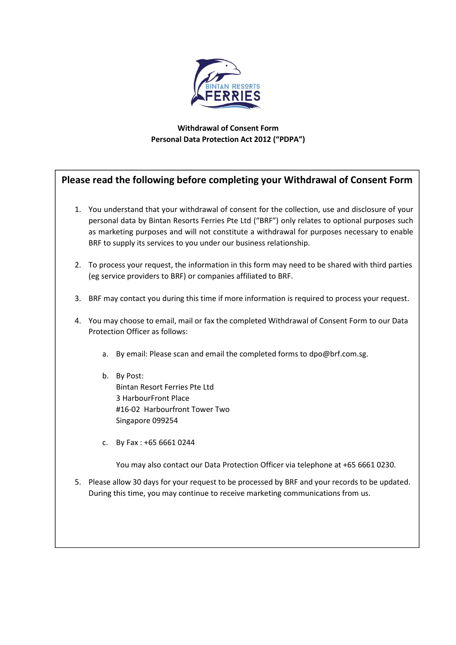

## Withdrawal of Consent Form Personal Data Protection Act 2012 ("PDPA")

## Please read the following before completing your Withdrawal of Consent Form

- 1. You understand that your withdrawal of consent for the collection, use and disclosure of your personal data by Bintan Resorts Ferries Pte Ltd ("BRF") only relates to optional purposes such as marketing purposes and will not constitute a withdrawal for purposes necessary to enable BRF to supply its services to you under our business relationship.
- 2. To process your request, the information in this form may need to be shared with third parties (eg service providers to BRF) or companies affiliated to BRF.
- 3. BRF may contact you during this time if more information is required to process your request.
- 4. You may choose to email, mail or fax the completed Withdrawal of Consent Form to our Data Protection Officer as follows:
	- a. By email: Please scan and email the completed forms to dpo@brf.com.sg.
	- b. By Post: Bintan Resort Ferries Pte Ltd 3 HarbourFront Place #16-02 Harbourfront Tower Two Singapore 099254
	- c. By Fax : +65 6661 0244

You may also contact our Data Protection Officer via telephone at +65 6661 0230.

5. Please allow 30 days for your request to be processed by BRF and your records to be updated. During this time, you may continue to receive marketing communications from us.